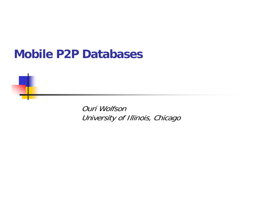## **Mobile P2P Databases**

Ouri Wolfson University of Illinois, Chicago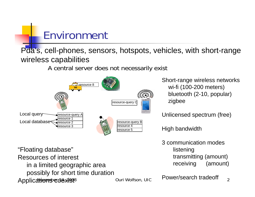# Environment

Pda's, cell-phones, sensors, hotspots, vehicles, with short-range wireless capabilities

A central server does not necessarily exist



Short-range wireless networks wi-fi (100-200 meters) bluetooth (2-10, popular) zigbee

Unlicensed spectrum (free)

High bandwidth

3 communication modeslistening transmitting (amount) receiving (amount)

Applications ouri Wolfson, UIC Provensearch nadeoli 2 "Floating database" Resources of interest in a limited geographic area possibly for short time duration

Power/search tradeoff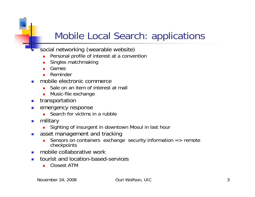## Mobile Local Search: applications

- social networking (wearable website)
	- П Personal profile of interest at a convention
	- П Singles matchmaking
	- П Games

E

- П Reminder
- P. mobile electronic commerce
	- П Sale on an item of interest at mall
	- **•** Music-file exchange
- $\overline{\phantom{a}}$ transportation
- $\mathcal{L}_{\mathcal{A}}$  emergency response
	- **Search for victims in a rubble**
- $\mathcal{L}_{\mathcal{A}}$  military
	- П Sighting of insurgent in downtown Mosul in last hour
- $\mathcal{L}_{\mathcal{A}}$  asset management and tracking
	- П Sensors on containers exchange security information => remote checkpoints
- $\mathbf{r}$ mobile collaborative work
- $\mathcal{L}_{\mathcal{A}}$  tourist and location-based-services
	- Closest ATM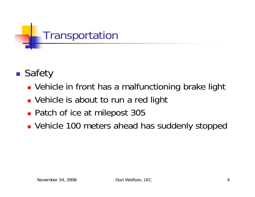

#### ■ Safety

- **Vehicle in front has a malfunctioning brake light**
- **D** Vehicle is about to run a red light
- Patch of ice at milepost 305
- **Vehicle 100 meters ahead has suddenly stopped**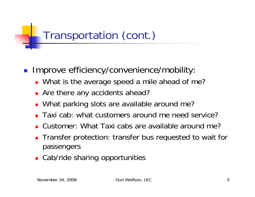## Transportation (cont.)

- П Improve efficiency/convenience/mobility:
	- **Nhat is the average speed a mile ahead of me?**
	- **Are there any accidents ahead?**
	- What parking slots are available around me?
	- П Taxi cab: what customers around me need service?
	- П Customer: What Taxi cabs are available around me?
	- **Transfer protection: transfer bus requested to wait for** passengers
	- **Cab/ride sharing opportunities**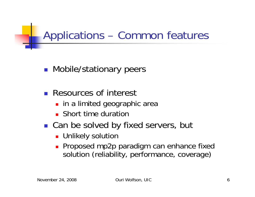Applications – Common features

**Nobile/stationary peers** 

- **Resources of interest** 
	- **I** in a limited geographic area
	- **Short time duration**
- Can be solved by fixed servers, but
	- **L** Unlikely solution
	- Proposed mp2p paradigm can enhance fixed solution (reliability, performance, coverage)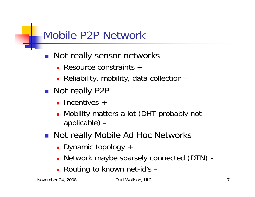## Mobile P2P Network

- Not really sensor networks
	- Resource constraints +
	- Reliability, mobility, data collection –
- Not really P2P
	- **Incentives** +
	- **Nobility matters a lot (DHT probably not** applicable) –
- Not really Mobile Ad Hoc Networks
	- Dynamic topology +
	- Network maybe sparsely connected (DTN) -
	- Routing to known net-id's -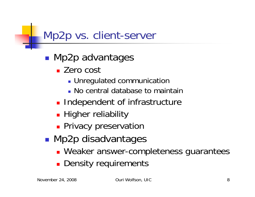## Mp2p vs. client-server

- ■ Mp2p advantages
	- Zero cost
		- **Dunnegulated communication**
		- **No central database to maintair**
	- **Independent of infrastructure**
	- **-** Higher reliability
	- **Privacy preservation**
- **Service Service** ■ Mp2p disadvantages
	- **Neaker answer-completeness guarantees**
	- Π Density requirements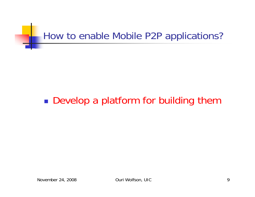

#### $\mathbb{R}^3$ ■ Develop a platform for building them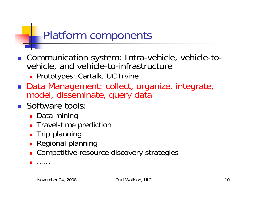## Platform components

- Communication system: Intra-vehicle, vehicle-tovehicle, and vehicle-to-infrastructure
	- **Prototypes: Cartalk, UC Irvine**
- Data Management: collect, organize, integrate, model, disseminate, query data
- **Software tools** 
	- Data mining
	- **Travel-time prediction**
	- **Trip planning**
	- **Regional planning**
	- **. Competitive resource discovery strategies**

× ……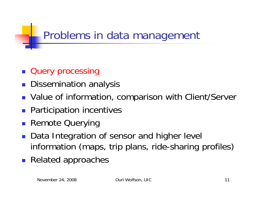# Problems in data management

- **Query processing**
- **Dissemination analysis**
- **Value of information, comparison with Client/Server**
- **Participation incentives**
- **Remote Querying**
- Data Integration of sensor and higher level information (maps, trip plans, ride-sharing profiles)
- **Related approaches**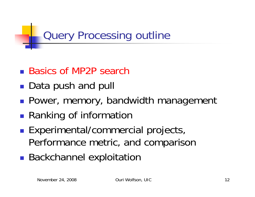Query Processing outline

- Basics of MP2P search
- **Service Service** ■ Data push and pull
- ■ Power, memory, bandwidth management
- ■ Ranking of information
- **Service Service Experimental/commercial projects,** Performance metric, and comparison
- **Service Service Backchannel exploitation**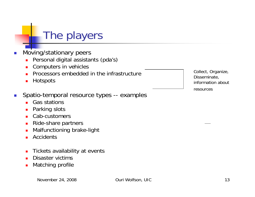## The players

- П Moving/stationary peers
	- $\blacksquare$ Personal digital assistants (pda's)
	- $\blacksquare$ Computers in vehicles
	- $\blacksquare$ Processors embedded in the infrastructure
	- $\blacksquare$ **Hotspots**
- Spatio-temporal resource types -- examples
	- $\blacksquare$ Gas stations
	- $\blacksquare$ Parking slots
	- ٠ Cab-customers
	- $\blacksquare$ Ride-share partners
	- Ē. Malfunctioning brake-light
	- п **Accidents**
	- $\blacksquare$ Tickets availability at events
	- $\blacksquare$ Disaster victims
	- $\blacksquare$ Matching profile

Collect, Organize, Disseminate, information about resources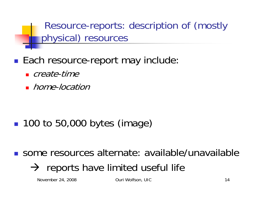Resource-reports: description of (mostly physical) resources

- ■ Each resource-report may include:
	- create-time
	- **h**ome-location

**100 to 50,000 bytes (image)** 

some resources alternate: available/unavailable

 $\rightarrow$  reports have limited useful life

November 24, 2008 **Ouri Wolfson, UIC** 14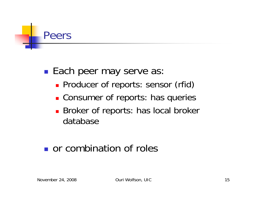

 $\mathbb{R}^3$ **Each peer may serve as:** 

- **Producer of reports: sensor (rfid)**
- **Consumer of reports: has queries**
- **Broker of reports: has local broker** database

## **or combination of roles**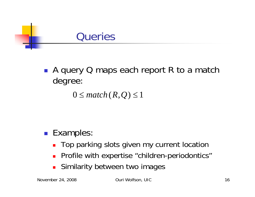

■ A query Q maps each report R to a match degree:

 $0 \leq match(R,Q) \leq 1$ 

### ■ Examples:

- Top parking slots given my current location
- $\blacksquare$ Profile with expertise "children-periodontics"
- $\overline{\phantom{a}}$ Similarity between two images

November 24, 2008 **Ouri Wolfson, UIC** 16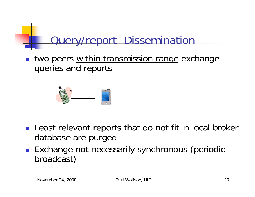# Query/report Dissemination

 $\mathcal{L}^{\mathcal{L}}$ two peers within transmission range exchange queries and reports



- **Least relevant reports that do not fit in local broker** database are purged
- **Exchange not necessarily synchronous (periodic** broadcast)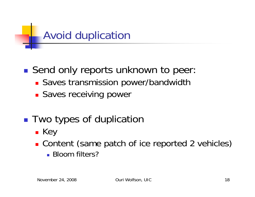

**Service Service** ■ Send only reports unknown to peer

- **Saves transmission power/bandwidth**
- **Saves receiving power**
- ■ Two types of duplication
	- Key
	- **Content (same patch of ice reported 2 vehicles)** 
		- Bloom filters?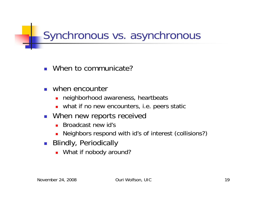Synchronous vs. asynchronous

- When to communicate?
- $\overline{\phantom{a}}$  when encounter
	- **neighborhood awareness, heartbeats**
	- what if no new encounters, i.e. peers static
- **Nhen new reports received** 
	- **Broadcast new id's**
	- П Neighbors respond with id's of interest (collisions?)
- Blindly, Periodically
	- **DED What if nobody around?**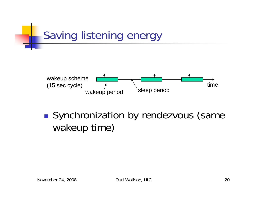

 $\mathbb{R}^3$ Synchronization by rendezvous (same wakeup time)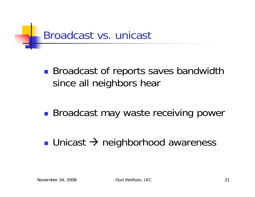

 $\mathbb{R}^3$ **Broadcast of reports saves bandwidth** since all neighbors hear

- $\mathbb{R}^3$ **Broadcast may waste receiving power**
- Unicast → neighborhood awareness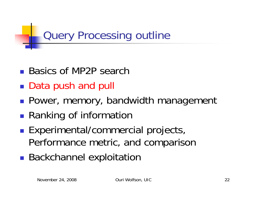Query Processing outline

- Basics of MP2P search
- **Service Service** ■ Data push and pull
- ■ Power, memory, bandwidth management
- ■ Ranking of information
- **Service Service Experimental/commercial projects,** Performance metric, and comparison
- **Service Service Backchannel exploitation**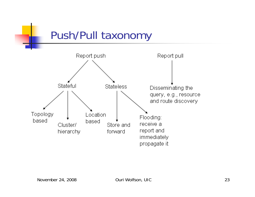Push/Pull taxonomy

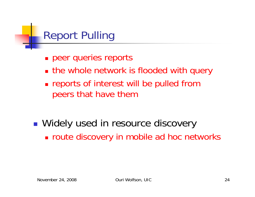

- **peer queries reports**
- **the whole network is flooded with query**
- **Example 1 reports of interest will be pulled from** peers that have them
- ■ Widely used in resource discovery route discovery in mobile ad hoc networks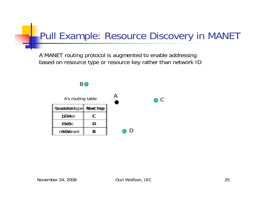## Pull Example: Resource Discovery in MANET

A MANET routing protocol is augmented to enable addressing based on resource type or resource key rather than network ID

#### B O

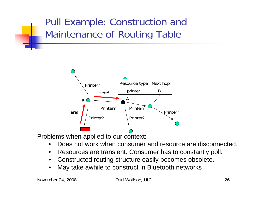## Pull Example: Construction and Maintenance of Routing Table



Problems when applied to our context:

- •Does not work when consumer and resource are disconnected.
- $\bullet$ Resources are transient. Consumer has to constantly poll.
- $\bullet$ Constructed routing structure easily becomes obsolete.
- •May take awhile to construct in Bluetooth networks

November 24, 2008 Ouri Wolfson, UIC 26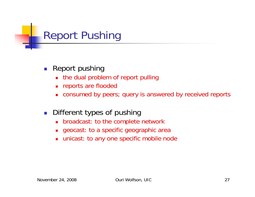

- $\left\vert \cdot \right\vert$  Report pushing
	- $\blacksquare$ the dual problem of report pulling
	- $\blacksquare$ reports are flooded
	- ▉ consumed by peers; query is answered by received reports
- $\mathcal{L}_{\mathcal{A}}$  Different types of pushing
	- $\blacksquare$ broadcast: to the complete network
	- $\blacksquare$ geocast: to a specific geographic area
	- $\blacksquare$ unicast: to any one specific mobile node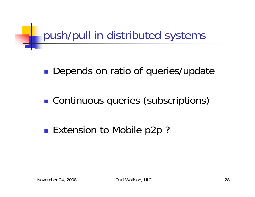

 $\mathbb{R}^3$ **Depends on ratio of queries/update** 

 $\mathbb{R}^3$ **Continuous queries (subscriptions)** 

 $\mathbb{R}^3$ ■ Extension to Mobile p2p ?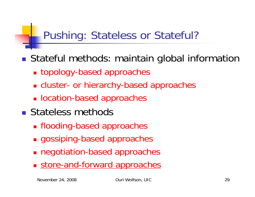# Pushing: Stateless or Stateful?

■ Stateful methods: maintain global information

- topology-based approaches
- cluster- or hierarchy-based approaches
- **Deation-based approaches**
- **Stateless methods** 
	- flooding-based approaches
	- gossiping-based approaches
	- negotiation-based approaches
	- **Store-and-forward approaches**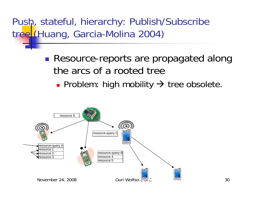Push, stateful, hierarchy: Publish/Subscribe tree (Huang, Garcia-Molina 2004)

- **Resource-reports are propagated along** the arcs of a rooted tree
	- Problem: high mobility  $\rightarrow$  tree obsolete.

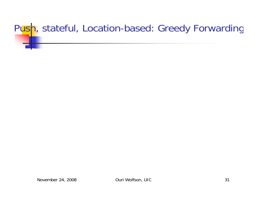# P<mark>us</mark>h, stateful, Location-based: Greedy Forwarding

November 24, 2008 **Ouri Wolfson, UIC** 31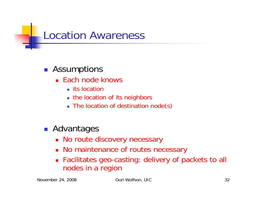## Location Awareness

#### **B** Assumptions

- Each node knows
	- $\blacksquare$  its location
	- the location of its neighbors
	- The location of destination node(s)
- **Advantages** 
	- No route discovery necessary
	- No maintenance of routes necessary
	- Facilitates geo-casting: delivery of packets to all nodes in a region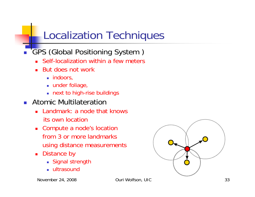# Localization Techniques

- **GPS (Global Positioning System)** 
	- Self-localization within a few meters
	- Ξ But does not work
		- $\blacksquare$  indoors,
		- under foliage,
		- next to high-rise buildings
- **Atomic Multilateration** 
	- **Landmark: a node that knows** its own location
	- Compute a node's location from 3 or more landmarksusing distance measurements
	- $\blacksquare$  Distance by
		- Signal strength
		- ultrasound

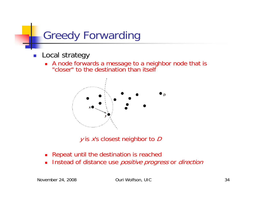

- $\mathcal{C}^{\mathcal{A}}$  Local strategy
	- A node forwards a message to a neighbor node that is "closer" to the destination than itself



 $y$  is  $x$ 's closest neighbor to  $D$ 

- $\blacksquare$ Repeat until the destination is reached
- $\blacksquare$ Instead of distance use *positive progress* or *direction*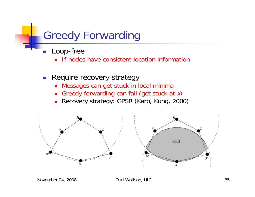## Greedy Forwarding

- П Loop-free
	- **If nodes have consistent location information**
- **Require recovery strategy** 
	- Messages can get stuck in local minima
	- L. Greedy forwarding can fail (get stuck at  $x$ )
	- $\blacksquare$ Recovery strategy: GPSR (Karp, Kung, 2000)



November 24, 2008 Ouri Wolfson, UIC 35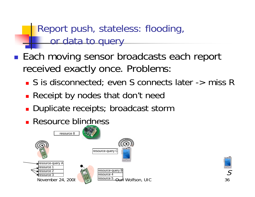Report push, stateless: flooding, or data to query

■ Each moving sensor broadcasts each report received exactly once. Problems:

■ S is disconnected; even S connects later -> miss R

- **Receipt by nodes that don't need**
- **Duplicate receipts; broadcast storm**
- **Resource blindness**



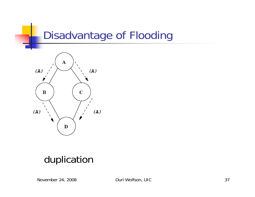## Disadvantage of Flooding



### duplication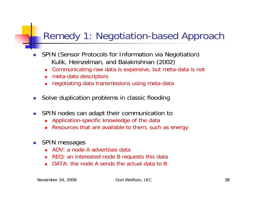### Remedy 1: Negotiation-based Approach

- П SPIN (Sensor Protocols for Information via Negotiation) Kulik, Heinzelman, and Balakrishnan (2002)
	- Communicating raw data is expensive, but meta-data is not
	- meta-data descriptors
	- negotiating data transmissions using meta-data
- Solve duplication problems in classic flooding
- SPIN nodes can adapt their communication to
	- Application-specific knowledge of the data
	- Resources that are available to them, such as energy
- **SPIN messages** 
	- ADV: a node A advertises data
	- REQ: an interested node B requests this data
	- DATA: the node A sends the actual data to B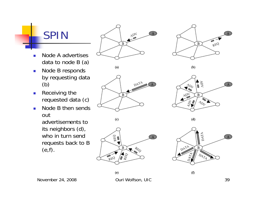SPIN

- P. Node A advertises data to node B (a)
- $\mathcal{L}_{\mathcal{A}}$  Node B responds by requesting data (b)
- $\overline{\mathbb{R}^n}$  Receiving the requested data (c)
- $\mathcal{L}_{\mathcal{A}}$  Node B then sends out advertisements to its neighbors (d), who in turn send requests back to B (e,f).









 $(d)$ 

 $(f)$ 





 $(e)$ 



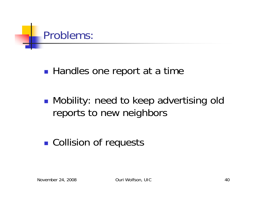

 $\mathbb{R}^3$ ■ Handles one report at a time

 $\mathbb{R}^3$ **• Mobility: need to keep advertising old** reports to new neighbors

 $\mathbb{R}^3$ **Collision of requests**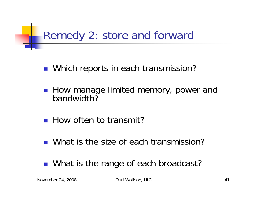# Remedy 2: store and forward

- **Nhich reports in each transmission?**
- How manage limited memory, power and bandwidth?
- **How often to transmit?**
- What is the size of each transmission?
- What is the range of each broadcast?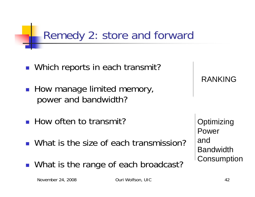# Remedy 2: store and forward

- Which reports in each transmit?
- **How manage limited memory,** power and bandwidth?
- **How often to transmit?**
- What is the size of each transmission?
- What is the range of each broadcast?

RANKING

**Optimizing** Power andBandwidth**Consumption**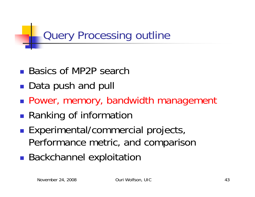Query Processing outline

- Basics of MP2P search
- **Service Service** ■ Data push and pull
- Power, memory, bandwidth management
- ■ Ranking of information
- **Service Service Experimental/commercial projects,** Performance metric, and comparison
- **Service Service Backchannel exploitation**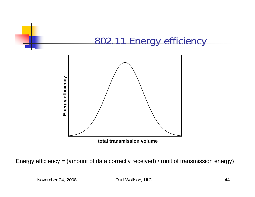

**total transmission volume**

Energy efficiency = (amount of data correctly received) / (unit of transmission energy)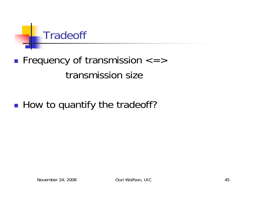

### **Fiequency of transmission**  $\lt =$   $>$ transmission size

#### **How to quantify the tradeoff?**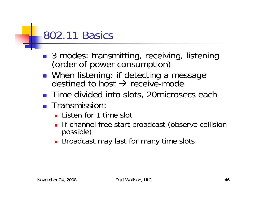## 802.11 Basics

- H ■ 3 modes: transmitting, receiving, listening<br>(order of power consumption)
- **Nhen listening: if detecting a message** destined to host  $\rightarrow$  receive-mode
- **Time divided into slots, 20microsecs each**
- **Transmission:** 
	- **Listen for 1 time slot**
	- **If channel free start broadcast (observe collision** possible)
	- **Broadcast may last for many time slots**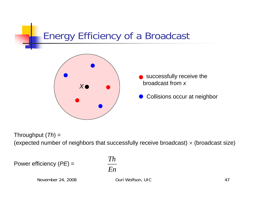### Energy Efficiency of a Broadcast



- successfully receive the broadcast from *x*
- Collisions occur at neighbor

Throughput (*Th*) = (expected number of neighbors that successfully receive broadcast)  $\times$  (broadcast size)

Power efficiency (*PE*) =

*EnTh*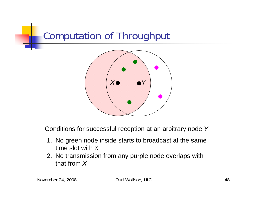### Computation of Throughput



Conditions for successful reception at an arbitrary node *Y*

- 1. No green node inside starts to broadcast at the same time slot with *X*
- 2. No transmission from any purple node overlaps with that from *X*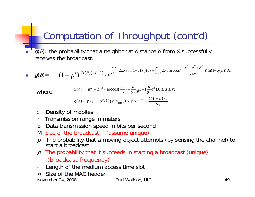### Computation of Throughput (cont'd)

 $g(\delta)$ : the probability that a neighbor at distance  $\delta$  from X successfully receives the broadcast.

$$
\mathbf{g}(\delta) = (1-p')^{\lambda S(\delta)(2T+1)} \cdot e^{\int_0^{r-\delta} 2\pi\lambda \varepsilon \ln(1-q(\varepsilon))d\varepsilon + \int_{r-\delta}^r 2\lambda \varepsilon \arccos(\frac{-r^2+\varepsilon^2+\delta^2}{2\varepsilon\delta}))\ln(1-q(\varepsilon))d\varepsilon}
$$

where

$$
S(a) = \pi r^2 - 2r^2 \cdot (\arccos(\frac{a}{2r}) - \frac{a}{2r} \sqrt{1 - (\frac{a}{2r})^2}, 0 \le a \le r;
$$
  

$$
q(\varepsilon) = p \cdot (1 - p')\lambda S(\varepsilon) \tau_{data}, 0 \le \varepsilon \le r; T = \frac{(M + h) \cdot 8}{b \tau}
$$

- λDensity of mobiles
- r Transmission range in meters.
- b Data transmission speed in bits per second
- M Size of the broadcast (assume unique)
- $p$  The probability that a moving object attempts (by sensing the channel) to start a broadcast
- $p<sup>′</sup>$  The probability that it succeeds in starting a broadcast (unique) (broadcast frequency)
- τLength of the medium access time slot
- hSize of the MAC header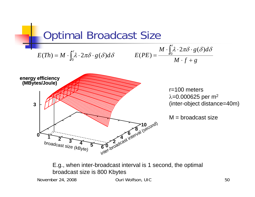

E.g., when inter-broadcast interval is 1 second, the optimal broadcast size is 800 Kbytes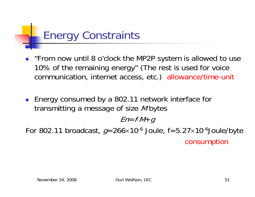# Energy Constraints

- "From now until 8 o'clock the MP2P system is allowed to use 10% of the remaining energy" (The rest is used for voice communication, internet access, etc.) allowance/time-unit
- Energy consumed by a 802.11 network interface for transmitting a message of size M bytes

 $E$ n= f $\mathcal{M}{+}$   $g$ 

For 802.11 broadcast,  $g$ =266×10<sup>-6</sup> Joule, f=5.27×10<sup>-6</sup>Joule/byte consumption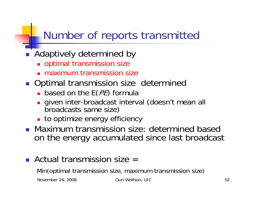# Number of reports transmitted

### **Adaptively determined by**

- optimal transmission size
- maximum transmission size
- **Optimal transmission size determined** 
	- **•** based on the  $E(PE)$  formula
	- П <sup>g</sup>iven inter-broadcast interval (doesn't mean all broadcasts same size)
	- **to optimize energy efficiency**
- **Maximum transmission size: determined based** on the energy accumulated since last broadcast

### Actual transmission size =

Min(optimal transmission size, maximum transmission size)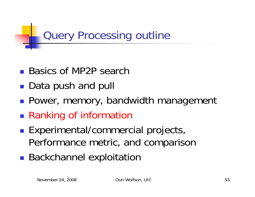Query Processing outline

- Basics of MP2P search
- **Service Service** ■ Data push and pull
- **Power, memory, bandwidth management**
- ■ Ranking of information
- **Service Service Experimental/commercial projects,** Performance metric, and comparison
- **Service Service Backchannel exploitation**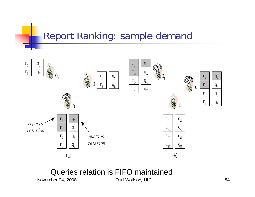### Report Ranking: sample demand



#### Queries relation is FIFO maintained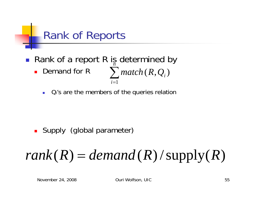

- Rank of a report R is determined by **Demand for R**  $\sum_{i=1}$ *n i*=1  $match$   $(R,Q_{\overline i})$ 
	- a. Q<sub>i's</sub> are the members of the queries relation

**Supply (global parameter)** 

#### *rank* ( *R* )  $= demand(R)/supply(R)$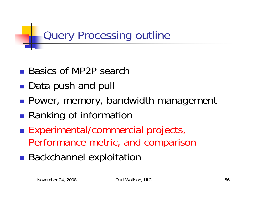Query Processing outline

- Basics of MP2P search
- **Service Service** ■ Data push and pull
- **Power, memory, bandwidth management**
- ■ Ranking of information
- **Service Service Experimental/commercial projects,** Performance metric, and comparison
- **Service Service Backchannel exploitation**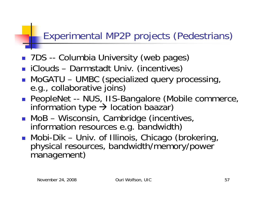## Experimental MP2P projects (Pedestrians)

- **7DS** -- Columbia University (web pages)
- iClouds Darmstadt Univ. (incentives)
- H MoGATU – UMBC (specialized query processing, e.g., collaborative joins)
- **PeopleNet -- NUS, IIS-Bangalore (Mobile commerce,** information type  $\rightarrow$  location baazar)
- H MoB – Wisconsin, Cambridge (incentives, information resources e.g. bandwidth)
- H Mobi-Dik – Univ. of Illinois, Chicago (brokering, physical resources, bandwidth/memory/power management)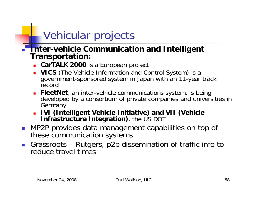# Vehicular projects

- П **Inter-vehicle Communication and Intelligent Transportation:**
	- **CarTALK 2000** is a European project
	- **VICS** (The Vehicle Information and Control System) is a government-sponsored system in Japan with an 11-year track record
	- **FleetNet**, an inter-vehicle communications system, is being developed by a consortium of private companies and universities in Germany
	- **IVI (Intelligent Vehicle Initiative) and VII (Vehicle Infrastructure Integration)**, the US DOT
- **NP2P provides data management capabilities on top of** these communication systems
- $\mathcal{C}^{\mathcal{A}}$  Grassroots – Rutgers, p2p dissemination of traffic info to reduce travel times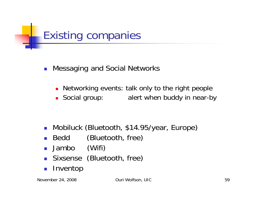

- $\overline{\phantom{a}}$  Messaging and Social Networks
	- $\blacksquare$ Networking events: talk only to the right people
	- Social group: alert when buddy in near-by

- Mobiluck (Bluetooth, \$14.95/year, Europe)
- $\sim 10$ Bedd (Bluetooth, free)
- $\mathcal{L}_{\mathcal{A}}$ Jambo (Wifi)
- **Sixsense (Bluetooth, free)**
- $\mathcal{C}^{\mathcal{A}}$ Inventop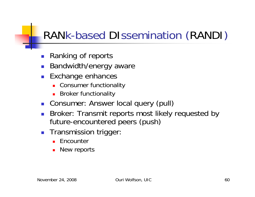# RANk-based DIssemination (RANDI )

- **Ranking of reports**
- П Bandwidth/energy aware
- $\mathbb{R}^{\mathbb{Z}}$  Exchange enhances
	- Consumer functionality
	- **Broker functionality**
- **Consumer: Answer local query (pull)**
- F. Broker: Transmit reports most likely requested by future-encountered peers (push)
- **Transmission trigger:** 
	- Encounter
	- $\mathbf{r}$ New reports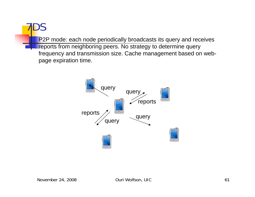P2P mode: each node periodically broadcasts its query and receives reports from neighboring peers. No strategy to determine query frequency and transmission size. Cache management based on webpage expiration time.



7DS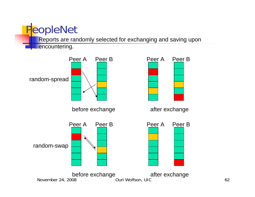# **PeopleNet**

Reports are randomly selected for exchanging and saving upon

encountering.

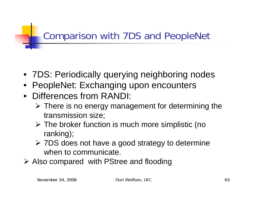## Comparison with 7DS and PeopleNet

- 7DS: Periodically querying neighboring nodes
- PeopleNet: Exchanging upon encounters
- Differences from RANDI:
	- $\triangleright$  There is no energy management for determining the transmission size;
	- ¾ The broker function is much more simplistic (no ranking);
	- ¾ 7DS does not have a good strategy to determine when to communicate.
- ¾ Also compared with PStree and flooding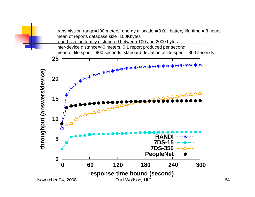transmission range=100 meters, energy allocation=0.01, battery life-time = 8 hours mean of reports database size=100Kbytes report size uniformly distributed between 100 and 2000 bytes inter-device distance=40 meters, 0.1 report produced per second mean of life span = 900 seconds, standard deviation of life span = 300 seconds

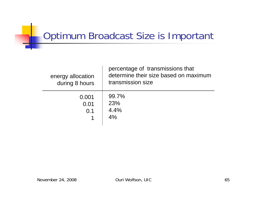## **Optimum Broadcast Size is Important**

| energy allocation<br>during 8 hours | percentage of transmissions that<br>determine their size based on maximum<br>transmission size |
|-------------------------------------|------------------------------------------------------------------------------------------------|
| 0.001<br>0.01<br>0.1                | 99.7%<br><b>23%</b><br>4.4%<br>4%                                                              |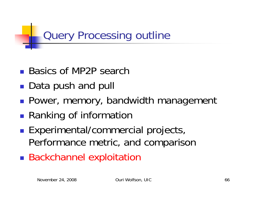Query Processing outline

- Basics of MP2P search
- **Service Service** ■ Data push and pull
- **Power, memory, bandwidth management**
- ■ Ranking of information
- **Service Service Experimental/commercial projects,** Performance metric, and comparison
- **Service Service Backchannel exploitation**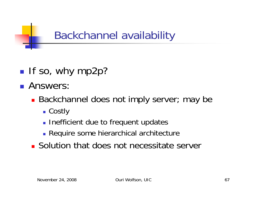Backchannel availability

- $\blacksquare$  If so, why mp2p?
- **Answers:** 
	- **Backchannel does not imply server; may be** 
		- Costly
		- **Inefficient due to frequent updates**
		- **Require some hierarchical architecture**
	- **Solution that does not necessitate server**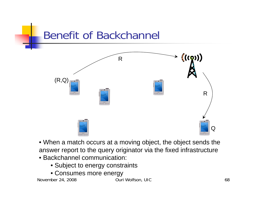

- When a match occurs at a moving object, the object sends the answer report to the query originator via the fixed infrastructure
- Backchannel communication:
	- Subject to energy constraints
	- Consumes more energy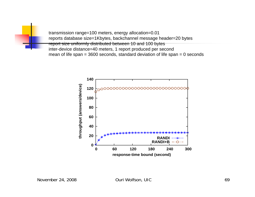transmission range=100 meters, energy allocation=0.01 reports database size=1Kbytes, backchannel message header=20 bytes report size uniformly distributed between 10 and 100 bytes inter-device distance=40 meters, 1 report produced per second mean of life span = 3600 seconds, standard deviation of life span = 0 seconds

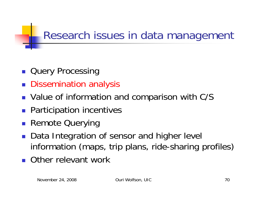# Research issues in data management

- **Query Processing**
- **Dissemination analysis**
- **Notallie of information and comparison with C/S**
- **Participation incentives**
- **Remote Querying**
- Data Integration of sensor and higher level information (maps, trip plans, ride-sharing profiles)
- П Other relevant work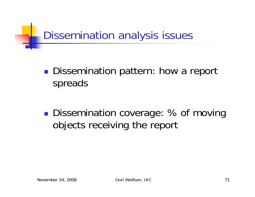

#### $\mathbb{R}^3$ **Dissemination pattern: how a report** spreads

 $\mathbb{R}^3$ ■ Dissemination coverage: % of moving objects receiving the report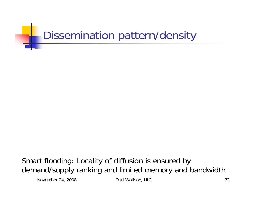

Smart flooding: Locality of diffusion is ensured by demand/supply ranking and limited memory and bandwidth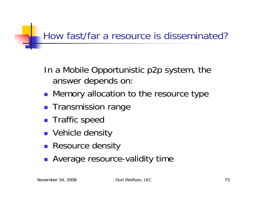## How fast/far a resource is disseminated?

- In a Mobile Opportunistic p2p system, the answer depends on:
- **Memory allocation to the resource type**
- **Transmission range**
- **Traffic speed**
- Vehicle density
- **Resource density**
- **Average resource-validity time**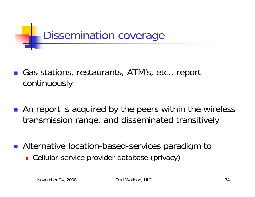

- Gas stations, restaurants, ATM's, etc., report continuously
- **An report is acquired by the peers within the wireless** transmission range, and disseminated transitively
- **Alternative location-based-services paradigm to** 
	- Cellular-service provider database (privacy)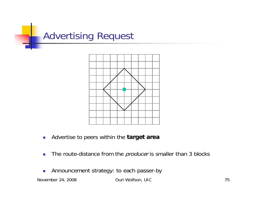



- $\overline{\mathbb{R}^n}$ Advertise to peers within the **target area**
- $\mathcal{L}_{\mathcal{A}}$ The route-distance from the *producer* is smaller than 3 blocks
- $\mathcal{L}_{\mathcal{A}}$ Announcement strategy: to each passer-by

November 24, 2008 **Ouri Wolfson, UIC** 75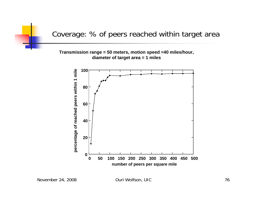Coverage: % of peers reached within target area

#### **Transmission range = 50 meters, motion speed =40 miles/hour, diameter of target area = 1 miles**

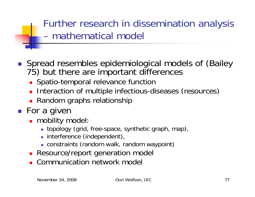Further research in dissemination analysis – mathematical model

- H Spread resembles epidemiological models of (Bailey 75) but there are important differences
	- **Spatio-temporal relevance function**
	- **Interaction of multiple infectious-diseases (resources)**
	- **Random graphs relationship**
- For a given
	- mobility model:
		- topology (grid, free-space, synthetic graph, map),
		- **Interference (independent),**
		- constraints (random walk, random waypoint)
	- **Resource/report generation model**
	- **E** Communication network model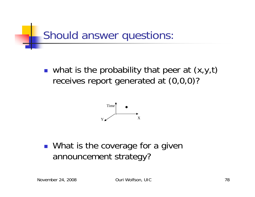

• what is the probability that peer at  $(x,y,t)$ receives report generated at (0,0,0)?



**Nhat is the coverage for a given** announcement strategy?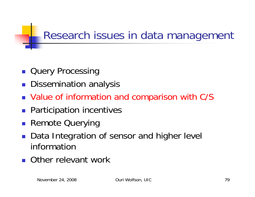# Research issues in data management

- **Query Processing**
- **Dissemination analysis**
- Value of information and comparison with C/S
- **Participation incentives**
- **Remote Querying**
- Data Integration of sensor and higher level information
- П Other relevant work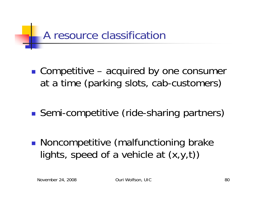

- ■ Competitive – acquired by one consumer at a time (parking slots, cab-customers)
- **Service Service** ■ Semi-competitive (ride-sharing partners)
- **Noncompetitive (malfunctioning brake** lights, speed of a vehicle at (x,y,t))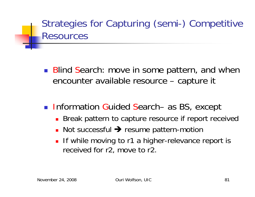## Strategies for Capturing (semi-) Competitive Resources

- **Blind Search: move in some pattern, and when** encounter available resource – capture it
- Information Guided Search– as BS, except
	- **Break pattern to capture resource if report received**
	- Not successful → resume pattern-motion
	- П If while moving to r1 a higher-relevance report is received for r2, move to r2.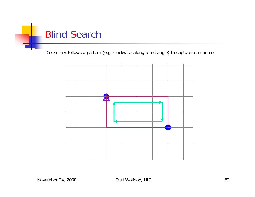

Consumer follows a pattern (e.g. clockwise along a rectangle) to capture a resource

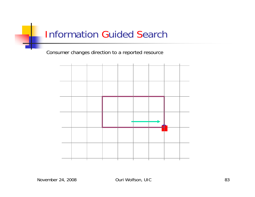## Information Guided Search

Consumer changes direction to a reported resource

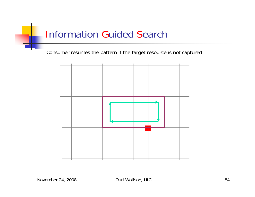## Information Guided Search

Consumer resumes the pattern if the target resource is not captured

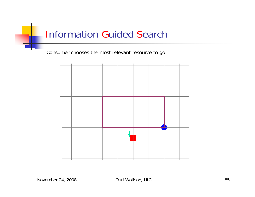## Information Guided Search

Consumer chooses the most relevant resource to go

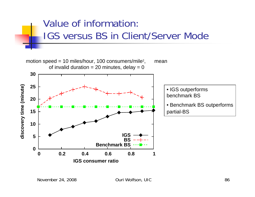# Value of information: IGS versus BS in Client/Server Mode

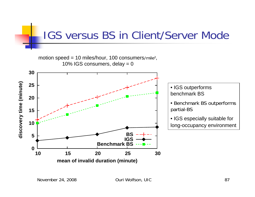# IGS versus BS in Client/Server Mode

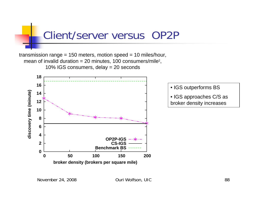





• IGS approaches C/S as broker density increases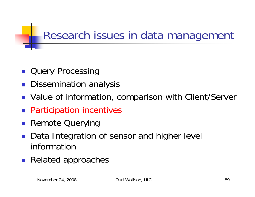# Research issues in data management

- **Query Processing**
- **Dissemination analysis**
- **Value of information, comparison with Client/Server**
- **Participation incentives**
- **Remote Querying**
- Data Integration of sensor and higher level information
- **Related approaches**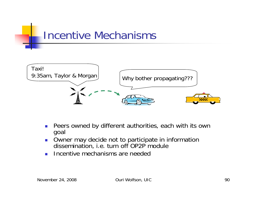



- $\mathcal{L}_{\mathcal{A}}$  Peers owned by different authorities, each with its own goal
- $\mathcal{C}_{\mathcal{A}}$ **DECO** Owner may decide not to participate in information dissemination, i.e. turn off OP2P module
- $\overline{\phantom{a}}$ Incentive mechanisms are needed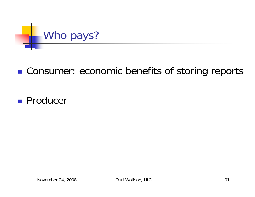

### **. Consumer: economic benefits of storing reports**

### ■ Producer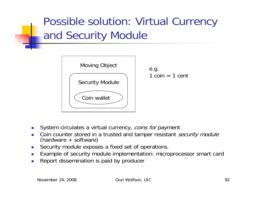# Possible solution: Virtual Currency and Security Module



e.g.  $1 \text{ coin} = 1 \text{ cent}$ 

- $\mathcal{L}_{\mathcal{A}}$ System circulates a virtual currency, coins for payment
- P. Coin counter stored in a trusted and tamper resistant *security module* (hardware + software)
- $\mathcal{L}_{\mathcal{A}}$ Security module exposes a fixed set of operations.
- П Example of security module implementation: microprocessor smart card
- m. Report dissemination is paid by producer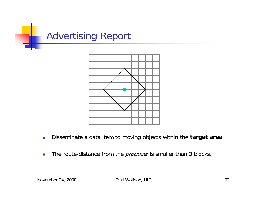



- $\overline{\mathbb{R}^n}$ Disseminate a data item to moving objects within the **target area**
- $\mathcal{L}_{\mathcal{A}}$ The route-distance from the *producer* is smaller than 3 blocks.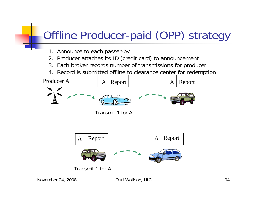# Offline Producer-paid (OPP) strategy

- 1. Announce to each passer-by
- 2. Producer attaches its ID (credit card) to announcement
- 3. Each broker records number of transmissions for producer
- 4. Record is submitted offline to clearance center for redemption

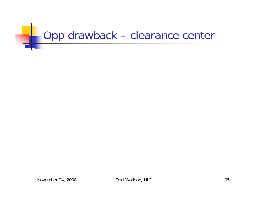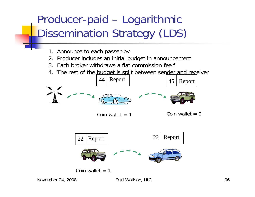### Producer-paid –- Logarithmic Dissemination Strategy (LDS)

- 1. Announce to each passer-by
- 2. Producer includes an initial budget in announcement
- 3. Each broker withdraws a flat commission fee f
- 4. The rest of the budget is split between sender and receiver

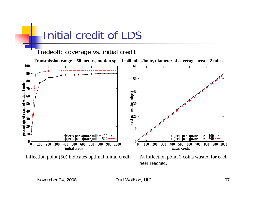

Inflection point (50) indicates optimal initial credit At inflection point 2 coins wasted for each

peer reached.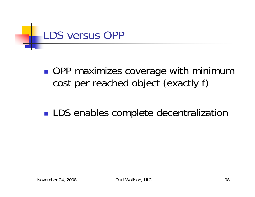

 $\mathbb{R}^3$ ■ OPP maximizes coverage with minimum cost per reached object (exactly f)

### $\mathbb{R}^3$ **LDS** enables complete decentralization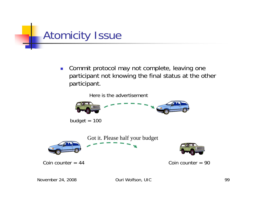

 $\left\lfloor \cdot \right\rfloor$  Commit protocol may not complete, leaving one participant not knowing the final status at the other participant.

Here is the advertisement

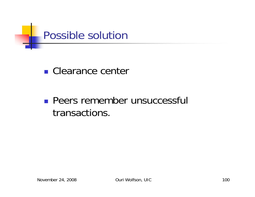

■ Clearance center

## **Peers remember unsuccessful** transactions.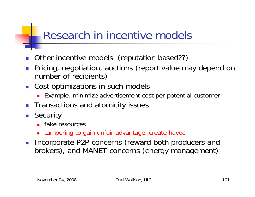# Research in incentive models

- П Other incentive models (reputation based??)
- $\mathcal{L}_{\mathcal{A}}$  Pricing, negotiation, auctions (report value may depend on number of recipients)
- $\left\lfloor \cdot \right\rfloor$  Cost optimizations in such models
	- Example: minimize advertisement cost per potential customer
- $\mathbb{R}^3$ Transactions and atomicity issues
- Security
	- **Fake resources**
	- tampering to gain unfair advantage, create havoc
- $\mathcal{L}^{\text{max}}$  Incorporate P2P concerns (reward both producers and brokers), and MANET concerns (energy management)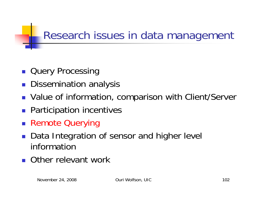# Research issues in data management

- **Query Processing**
- **Dissemination analysis**
- **Value of information, comparison with Client/Server**
- **Participation incentives**
- Remote Querying
- Data Integration of sensor and higher level information
- П Other relevant work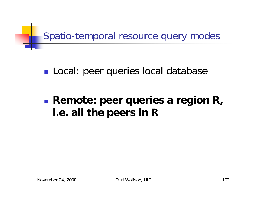

### $\mathbb{R}^3$ **Local: peer queries local database**

### $\mathbb{R}^3$  **Remote: peer queries a region R, i.e. all the peers in R**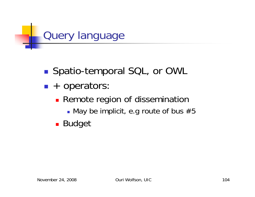

- $\mathbb{R}^3$ ■ Spatio-temporal SQL, or OWL
- $\mathbb{R}^3$ **-** + operators:
	- **Remote region of dissemination** 
		- $\blacksquare$  May be implicit, e.g route of bus  $\#5$
	- **Budget**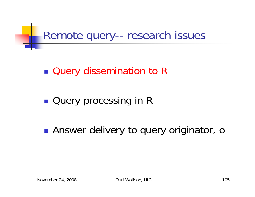Remote query-- research issues

 $\mathbb{R}^3$ ■ Query dissemination to R

 $\mathbb{R}^3$ **Query processing in R** 

 $\mathbb{R}^3$ **Answer delivery to query originator, only**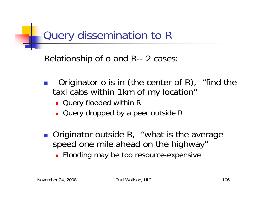

Relationship of o and R-- 2 cases:

- $\mathbb{R}^n$  Originator o is in (the center of R), "find the taxi cabs within 1km of my location"
	- Query flooded within R
	- **Query dropped by a peer outside R**
- **Originator outside R, "what is the average Interty** speed one mile ahead on the highway"
	- **Flooding may be too resource-expensive**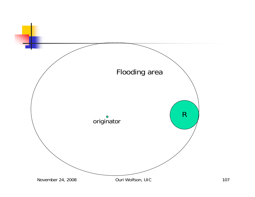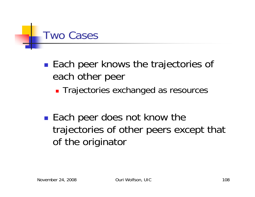

- $\mathbb{R}^3$ ■ Each peer knows the trajectories of each other peer
	- **Trajectories exchanged as resources**
- $\mathbb{R}^3$ ■ Each peer does not know the trajectories of other peers except that of the originator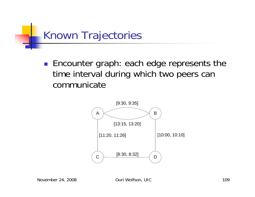

**Encounter graph: each edge represents the** time interval during which two peers can communicate

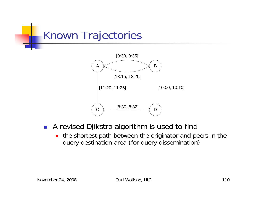



- **A** revised Djikstra algorithm is used to find
	- $\blacksquare$  the shortest path between the originator and peers in the query destination area (for query dissemination)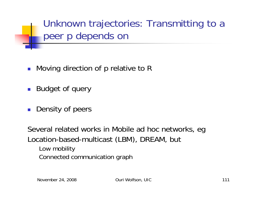Unknown trajectories: Transmitting to a peer p depends on

- Moving direction of p relative to R
- **Budget of query**
- **Density of peers**

Several related works in Mobile ad hoc networks, eg Location-based-multicast (LBM), DREAM, but Low mobility Connected communication graph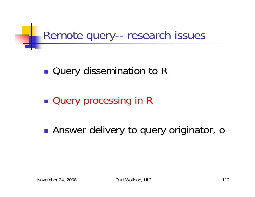Remote query-- research issues

 $\mathbb{R}^3$ ■ Query dissemination to R

 $\mathbb{R}^3$ **Query processing in R** 

 $\mathbb{R}^3$ **Answer delivery to query originator, o**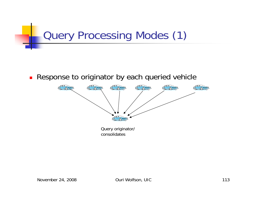

 $\blacksquare$ Response to originator by each queried vehicle



Query originator/ consolidates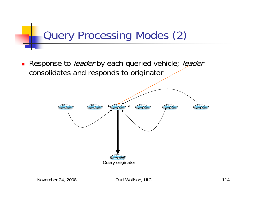

■ Response to *leader* by each queried vehicle; *leader* consolidates and responds to originator

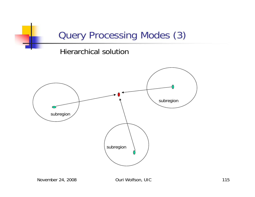## Query Processing Modes (3)

#### Hierarchical solution

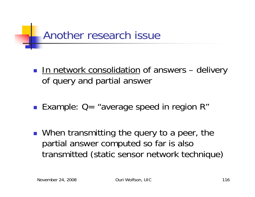

- **In network consolidation of answers delivery** of query and partial answer
- Example: Q= "average speed in region R"
- When transmitting the query to a peer, the partial answer computed so far is also transmitted (static sensor network technique)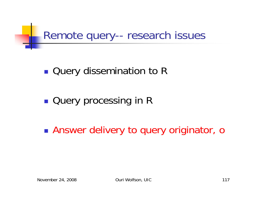Remote query-- research issues

 $\mathbb{R}^3$ ■ Query dissemination to R

 $\mathbb{R}^3$ **Query processing in R** 

 $\mathbb{R}^3$ Answer delivery to query originator, o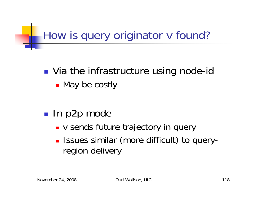# How is query originator v found?

#### $\mathbb{R}^3$ **No. 18 Yia the infrastructure using node-id**

■ May be costly

#### $\mathbb{R}^3$ ■ In p2p mode

- **v sends future trajectory in query**
- **ISSUES Similar (more difficult) to query**region delivery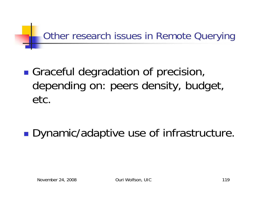## Other research issues in Remote Querying

### **Graceful degradation of precision,** depending on: peers density, budget, etc.

**Dynamic/adaptive use of infrastructure.**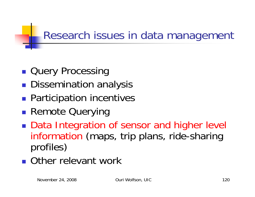## Research issues in data management

- **Query Processing**
- **Dissemination analysis**
- **Service Service Participation incentives**
- **Remote Querying**
- ■ Data Integration of sensor and higher level information (maps, trip plans, ride-sharing profiles)
- **Other relevant work**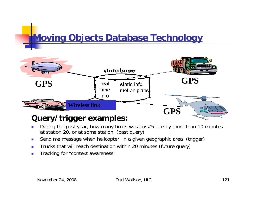## **Moving Objects Database Technology**



### **Query/trigger examples:**

- $\mathcal{C}^{\mathcal{A}}$  During the past year, how many times was bus#5 late by more than 10 minutes at station 20, or at some station (past query)
- $\overline{\phantom{a}}$ Send me message when helicopter in a given geographic area (trigger)
- m. Trucks that will reach destination within 20 minutes (future query)
- $\overline{\phantom{a}}$ Tracking for "context awareness"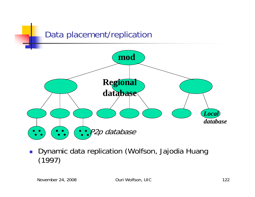

П Dynamic data replication (Wolfson, Jajodia Huang (1997)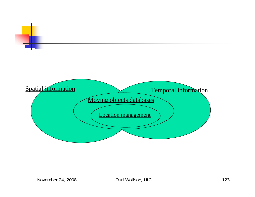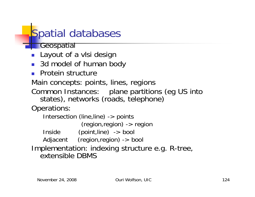# Spatial databases

**Geospatial** 

- Layout of a vlsi design
- 3d model of human body
- **Protein structure**

Main concepts: points, lines, regions

Common Instances: plane partitions (eg US into states), networks (roads, telephone)

Operations:

```
Intersection (line,line) -> points
               (region,region) -> region
   Inside (point,line) -> bool
   Adjacent (region,region) -> bool
Implementation: indexing structure e.g. R-tree, 
  extensible DBMS
```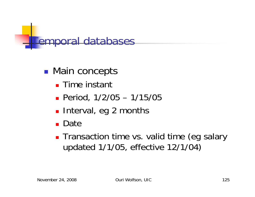

#### $\mathbb{R}^3$ **Main concepts**

- Time instant
- Period, 1/2/05 1/15/05
- **Interval, eg 2 months**
- **Date**
- **Transaction time vs. valid time (eg salary** updated 1/1/05, effective 12/1/04)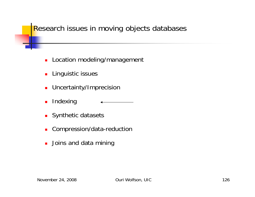### Research issues in moving objects databases

- **Location modeling/management**
- **Linguistic issues**
- **DETE:** Uncertainty/Imprecision
- $\blacksquare$ Indexing
- **Synthetic datasets**
- $\blacksquare$ Compression/data-reduction
- **.** Joins and data mining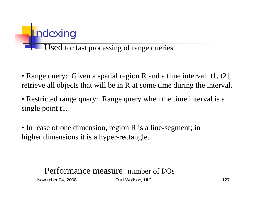# **Indexing**

### Used for fast processing of range queries

• Range query: Given a spatial region R and a time interval [t1, t2], retrieve all objects that will be in R at some time during the interval.

• Restricted range query: Range query when the time interval is a single point t1.

• In case of one dimension, region R is a line-segment; in higher dimensions it is a hyper-rectangle.

### Performance measure: number of I/Os

November 24, 2008 **Ouri Wolfson, UIC** 127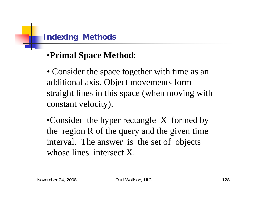

### •**Primal Space Method**:

• Consider the space together with time as an additional axis. Object movements form straight lines in this space (when moving with constant velocity).

• Consider the hyper rectangle X formed by the region R of the query and the given time interval. The answer is the set of objects whose lines intersect X.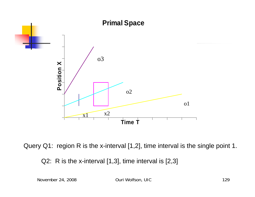



Q2: R is the x-interval [1,3], time interval is [2,3]

November 24, 2008 **Ouri Wolfson, UIC** 129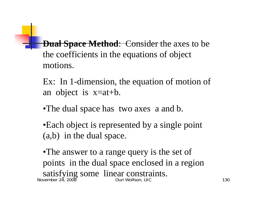**Dual Space Method:** Consider the axes to be the coefficients in the equations of object motions.

Ex: In 1-dimension, the equation of motion of an object is x=at+b.

•The dual space has two axes a and b.

•Each object is represented by a single point (a,b) in the dual space.

November 24, 2008 Ouri Wolfson, UIC 130 •The answer to a range query is the set of points in the dual space enclosed in a region satisfying some linear constraints.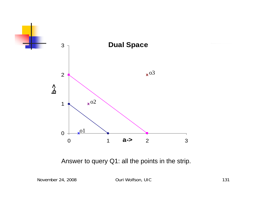

Answer to query Q1: all the points in the strip.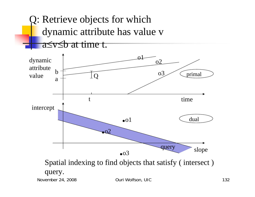Q: Retrieve objects for which dynamic attribute has value v a≤v≤b at time t.

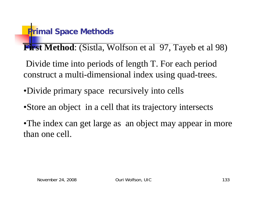## **Primal Space Methods**

**First Method**: (Sistla, Wolfson et al 97, Tayeb et al 98)

Divide time into periods of length T. For each period construct a multi-dimensional index using quad-trees.

- •Divide primary space recursively into cells
- •Store an object in a cell that its trajectory intersects

•The index can get large as an object may appear in more than one cell.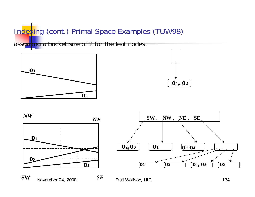### Indexing (cont.) Primal Space Examples (TUW98)

assuming a bucket size of 2 for the leaf nodes:







**November 24, 2008** 

**SW**



 $SE$  Ouri Wolfson, UIC 134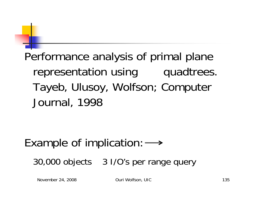# Performance analysis of primal plane representation using quadtrees. Tayeb, Ulusoy, Wolfson; Computer Journal, 1998

# Example of implication:  $\longrightarrow$ 30,000 objects 3 I/O's per range query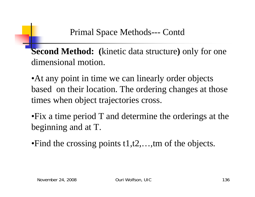**Second Method: (**kinetic data structure**)** only for one dimensional motion.

• At any point in time we can linearly order objects based on their location. The ordering changes at those times when object trajectories cross.

•Fix a time period T and determine the orderings at the beginning and at T.

•Find the crossing points t1,t2,...,tm of the objects.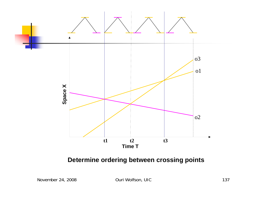

#### **Determine ordering between crossing points**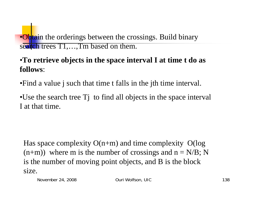•Obtain the orderings between the crossings. Build binary search trees  $T1, \ldots, Tm$  based on them.

### •**To retrieve objects in the space interval I at time t do as follows**:

•Find a value j such that time t falls in the jth time interval.

•Use the search tree Tj to find all objects in the space interval I at that time.

Has space complexity  $O(n+m)$  and time complexity  $O(log$  $(n+m)$ ) where m is the number of crossings and  $n = N/B$ ; N is the number of moving point objects, and B is the block size.

November 24, 2008 **Ouri Wolfson, UIC** 138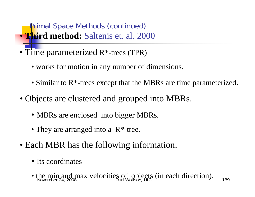**Primal Space Methods (continued)** • **Third method:** Saltenis et. al. 2000

- Time parameterized R\*-trees (TPR)
	- works for motion in any number of dimensions.
	- Similar to R<sup>\*</sup>-trees except that the MBRs are time parameterized.
- Objects are clustered and grouped into MBRs.
	- MBRs are enclosed into bigger MBRs.
	- They are arranged into a R<sup>\*</sup>-tree.
- Each MBR has the following information.
	- Its coordinates
	- $November 24, 2008$  and  $November 24, 2008$  and  $November 24, 2008$  and  $November 24, 2008$  and  $November 24, 2008$  and  $November 24, 2008$  and  $November 24, 2008$  and  $November 24, 2008$  and  $November 24, 2008$  and  $November 24, 2008$  and  $November 24, 2008$  and • the min and max velocities of objects (in each direction).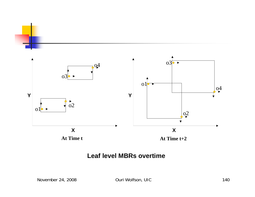

**At Time t**

**At Time t+2**

#### **Leaf level MBRs overtime**

November 24, 2008 **Ouri Wolfson, UIC** 2008 **OURI 2008** 2140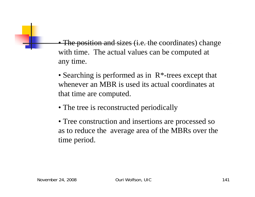• The position and sizes (i.e. the coordinates) change with time. The actual values can be computed at any time.

- Searching is performed as in R<sup>\*</sup>-trees except that whenever an MBR is used its actual coordinates at that time are computed.
- The tree is reconstructed periodically
- Tree construction and insertions are processed so as to reduce the average area of the MBRs over the time period.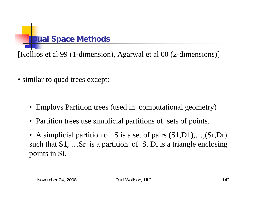

[Kollios et al 99 (1-dimension), Agarwal et al 00 (2-dimensions)]

- similar to quad trees except:
	- Employs Partition trees (used in computational geometry)
	- Partition trees use simplicial partitions of sets of points.
	- A simplicial partition of S is a set of pairs  $(S1,D1),..., (Sr,Dr)$ such that S1, …Sr is a partition of S. Di is a triangle enclosing points in Si.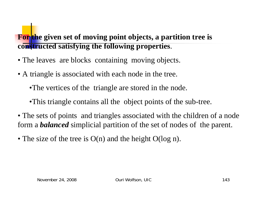### **For the given set of moving point objects, a partition tree is constructed satisfying the following properties**.

- The leaves are blocks containing moving objects.
- A triangle is associated with each node in the tree.
	- •The vertices of the triangle are stored in the node.
	- •This triangle contains all the object points of the sub-tree.
- The sets of points and triangles associated with the children of a node form a *balanced* simplicial partition of the set of nodes of the parent.
- The size of the tree is O(n) and the height O(log n).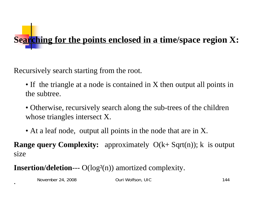

Recursively search starting from the root.

- If the triangle at a node is contained in X then output all points in the subtree.
- Otherwise, recursively search along the sub-trees of the children whose triangles intersect X.
- At a leaf node, output all points in the node that are in X.

**Range query Complexity:** approximately  $O(k+ Sqrt(n))$ ; k is output size

**Insertion/deletion---** O(log<sup>2</sup>(n)) amortized complexity.

November 24, 2008 Ouri Wolfson, UIC 2008 Ouri Wolfson, UIC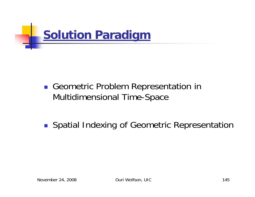

Geometric Problem Representation in Multidimensional Time-Space

**Spatial Indexing of Geometric Representation**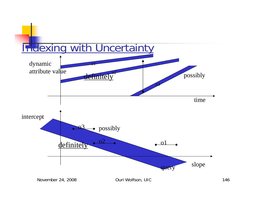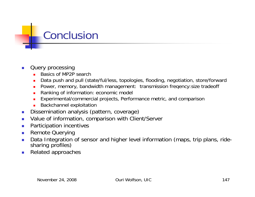# Conclusion

#### $\overline{\phantom{a}}$ Query processing

- П Basics of MP2P search
- П Data push and pull (state/ful/less, topologies, flooding, negotiation, store/forward
- Power, memory, bandwidth management: transmission freqency:size tradeoff
- П Ranking of information: economic model
- $\blacksquare$ Experimental/commercial projects, Performance metric, and comparison
- П Backchannel exploitation
- $\mathbb{R}^3$ Dissemination analysis (pattern, coverage)
- $\mathbb{R}^3$ Value of information, comparison with Client/Server
- $\overline{\phantom{a}}$ Participation incentives
- $\mathcal{L}_{\mathcal{A}}$ Remote Querying
- $\overline{\phantom{a}}$ Data Integration of sensor and higher level information (maps, trip plans, ride-<br>sharing profiles)
- $\mathcal{L}_{\mathcal{A}}$ Related approaches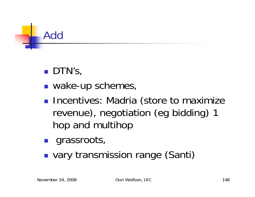

## **DTN's,**

- $\mathbb{R}^3$ ■ wake-up schemes,
- **Incentives: Madria (store to maximize** revenue), negotiation (eg bidding) 1 hop and multihop
- $\mathbb{R}^3$ **grassroots,**
- $\mathbb{R}^3$ **u** vary transmission range (Santi)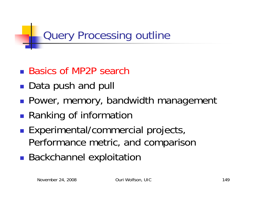Query Processing outline

- Basics of MP2P search
- **Service Service** ■ Data push and pull
- **Power, memory, bandwidth management**
- ■ Ranking of information
- **Service Service Experimental/commercial projects,** Performance metric, and comparison
- **Service Service Backchannel exploitation**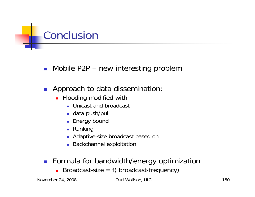

- Mobile P2P new interesting problem
- **Approach to data dissemination:** 
	- **Flooding modified with** 
		- **Unicast and broadcast**
		- data push/pull
		- Energy bound
		- Ranking
		- Adaptive-size broadcast based on
		- **Backchannel exploitation**
- **Formula for bandwidth/energy optimization** 
	- Broadcast-size = f( broadcast-frequency)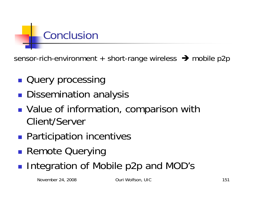

sensor-rich-environment + short-range wireless  $\rightarrow$  mobile p2p

- **Query processing**
- **Dissemination analysis**
- **Service Service Notable 20 Information, comparison with** Client/Server
- **Service Service Participation incentives**
- ■ Remote Querying
- **Integration of Mobile p2p and MOD's**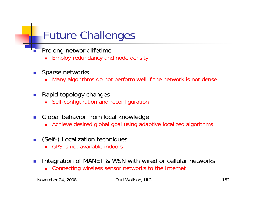# Future Challenges

- П Prolong network lifetime
	- П Employ redundancy and node density
- $\left\vert \psi_{\pm}\right\rangle$  Sparse networks
	- Many algorithms do not perform well if the network is not dense
- П Rapid topology changes
	- Self-configuration and reconfiguration
- $\mathbb{R}^3$  Global behavior from local knowledge
	- Achieve desired global goal using adaptive localized algorithms
- (Self-) Localization techniques
	- GPS is not available indoors
- $\mathcal{L}^{\mathcal{L}}$  Integration of MANET & WSN with wired or cellular networks
	- Connecting wireless sensor networks to the Internet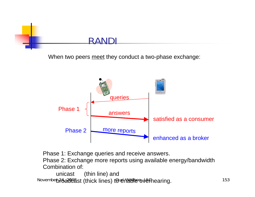

When two peers meet they conduct a two-phase exchange:



Phase 1: Exchange queries and receive answers.

Phase 2: Exchange more reports using available energy/bandwidth Combination of:

November 24, 2008 Ouri Wolfson, UIC 153 broadcast (thick lines) to enable overhearing.unicast (thin line) and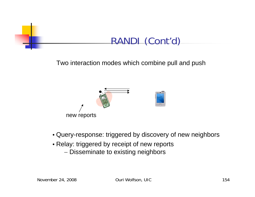

Two interaction modes which combine pull and push



- Query-response: triggered by discovery of new neighbors
- Relay: triggered by receipt of new reports
	- Disseminate to existing neighbors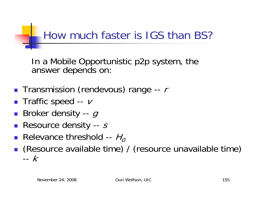# How much faster is IGS than BS?

In a Mobile Opportunistic p2p system, the answer depends on:

- **Transmission (rendevous) range --**  $r$
- Traffic speed --  $\nu$
- $\blacksquare$  Broker density --  $g$
- Resource density -- s
- **Relevance threshold --**  $H_0$
- (Resource available time) / (resource unavailable time) --k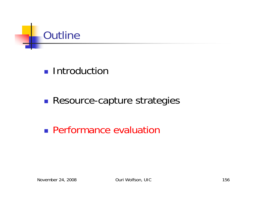

## **Introduction**

#### $\mathbb{R}^3$ **Resource-capture strategies**

**Performance evaluation**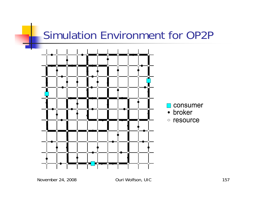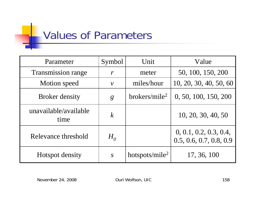# **Values of Parameters**

| Parameter                     | Symbol                      | Unit                         | Value                                             |
|-------------------------------|-----------------------------|------------------------------|---------------------------------------------------|
| <b>Transmission range</b>     | $\boldsymbol{r}$            | meter                        | 50, 100, 150, 200                                 |
| Motion speed                  | $\mathcal V$                | miles/hour                   | 10, 20, 30, 40, 50, 60                            |
| <b>Broker density</b>         | $\mathcal{S}_{\mathcal{S}}$ | $b$ rokers/mile <sup>2</sup> | 0, 50, 100, 150, 200                              |
| unavailable/available<br>time | $\boldsymbol{k}$            |                              | 10, 20, 30, 40, 50                                |
| Relevance threshold           | $H_{o}$                     |                              | 0, 0.1, 0.2, 0.3, 0.4,<br>0.5, 0.6, 0.7, 0.8, 0.9 |
| Hotspot density               | $\overline{S}$              | hotspots/mile <sup>2</sup>   | 17, 36, 100                                       |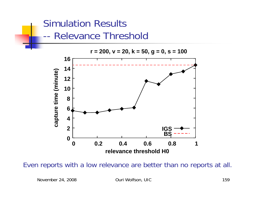## Simulation Results -- Relevance Threshold



**r = 200, v = 20, k = 50, g = 0, s = 100**

Even reports with a low relevance are better than no reports at all.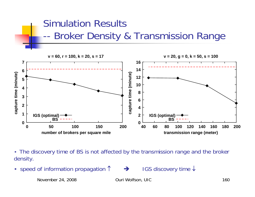### Simulation Results --Broker Density & Transmission Range



• The discovery time of BS is not affected by the transmission range and the broker density.

•speed of information propagation ↑

 $\rightarrow$ 

→ IGS discovery time ↓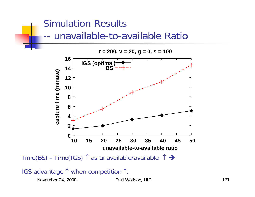## Simulation Results -- unavailable-to-available Ratio



 $r = 200$ ,  $v = 20$ ,  $g = 0$ ,  $s = 100$ 

### IGS advantage ↑ when competition ↑.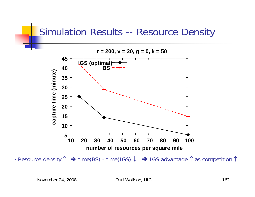### Simulation Results -- Resource Density



• Resource density  $\uparrow \rightarrow$  time(BS) - time(IGS)  $\downarrow \rightarrow$  IGS advantage  $\uparrow$  as competition  $\uparrow$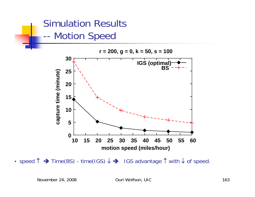### Simulation Results --Motion Speed



• speed  $\uparrow \rightarrow$  Time(BS) - time(IGS)  $\downarrow \rightarrow$  IGS advantage  $\uparrow$  with  $\downarrow$  of speed.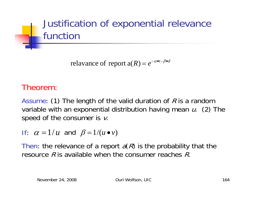

 $R$ ) =  $e^{-\alpha \bullet t - \beta \bullet d}$  $=e^{-\alpha \bullet t-\beta \bullet}$ α relavance of report  $a(R) = e^{-\alpha \cdot t - \beta R}$ 

### Theorem:

Assume: (1) The length of the valid duration of  $R$  is a random variable with an exponential distribution having mean u. (2) The speed of the consumer is  $\nu$ .

If:  $\alpha = 1/u$  and  $\beta = 1/(u \bullet v)$ 

Then: the relevance of a report  $a(R)$  is the probability that the resource  $R$  is available when the consumer reaches  $R$ .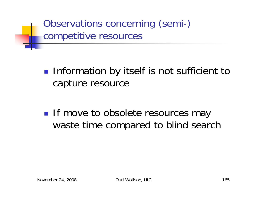Observations concerning (semi-) competitive resources

 $\mathbb{R}^3$ **Information by itself is not sufficient to** capture resource

 $\mathbb{R}^3$ **If move to obsolete resources may** waste time compared to blind search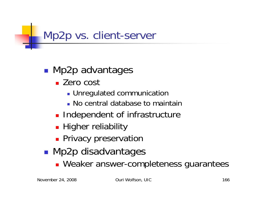# Mp2p vs. client-server

#### $\mathbb{R}^n$ **Mp2p advantages**

- Zero cost
	- **Dunnegulated communication**
	- No central database to maintain
- **Independent of infrastructure**
- **Higher reliability**
- **Privacy preservation**
- $\mathbb{R}^3$ **Mp2p disadvantages** 
	- **Neaker answer-completeness guarantees**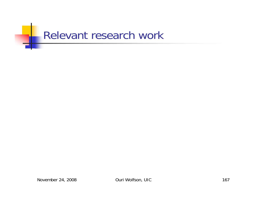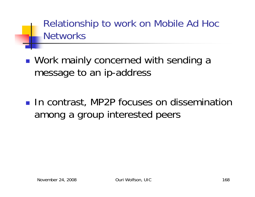Relationship to work on Mobile Ad Hoc **Networks** 

■ Work mainly concerned with sending a message to an ip-address

**In contrast, MP2P focuses on dissemination** among a group interested peers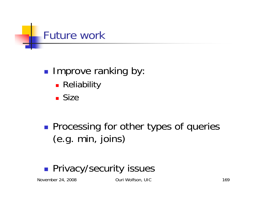

#### $\mathbb{R}^3$ **Improve ranking by:**

- **Reliability**
- Size

 $\mathbb{R}^3$ **Processing for other types of queries** (e.g. min, joins)

#### $\mathbb{R}^3$ **Privacy/security issues**